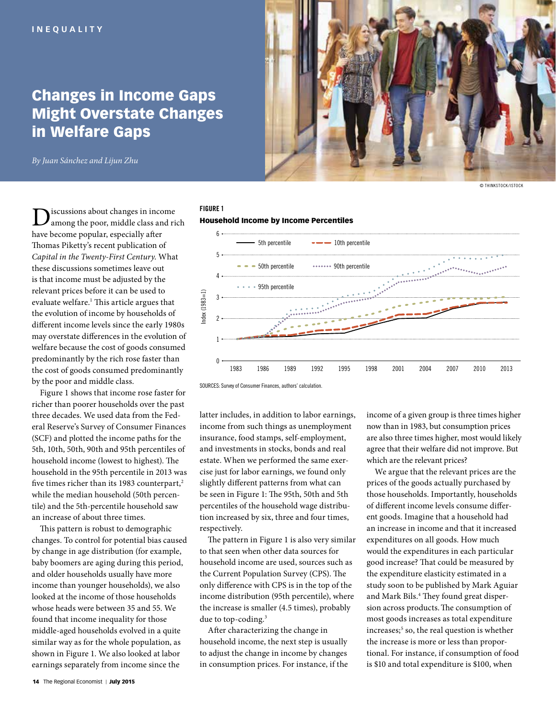# Changes in Income Gaps Might Overstate Changes in Welfare Gaps

© THINKSTOCK/ISTOCK

*By Juan Sánchez and Lijun Zhu*

Discussions about changes in income<br>among the poor, middle class and rich have become popular, especially after Thomas Piketty's recent publication of *Capital in the Twenty-First Century*. What these discussions sometimes leave out is that income must be adjusted by the relevant prices before it can be used to evaluate welfare.<sup>1</sup> This article argues that the evolution of income by households of different income levels since the early 1980s may overstate differences in the evolution of welfare because the cost of goods consumed predominantly by the rich rose faster than the cost of goods consumed predominantly by the poor and middle class.

Figure 1 shows that income rose faster for richer than poorer households over the past three decades. We used data from the Federal Reserve's Survey of Consumer Finances (SCF) and plotted the income paths for the 5th, 10th, 50th, 90th and 95th percentiles of household income (lowest to highest). The household in the 95th percentile in 2013 was five times richer than its 1983 counterpart,<sup>2</sup> while the median household (50th percentile) and the 5th-percentile household saw an increase of about three times.

This pattern is robust to demographic changes. To control for potential bias caused by change in age distribution (for example, baby boomers are aging during this period, and older households usually have more income than younger households), we also looked at the income of those households whose heads were between 35 and 55. We found that income inequality for those middle-aged households evolved in a quite similar way as for the whole population, as shown in Figure 1. We also looked at labor earnings separately from income since the

# FIGURE 1 Household Income by Income Percentiles



SOURCES: Survey of Consumer Finances, authors' calculation.

latter includes, in addition to labor earnings, income from such things as unemployment insurance, food stamps, self-employment, and investments in stocks, bonds and real estate. When we performed the same exercise just for labor earnings, we found only slightly different patterns from what can be seen in Figure 1: The 95th, 50th and 5th percentiles of the household wage distribution increased by six, three and four times, respectively.

The pattern in Figure 1 is also very similar to that seen when other data sources for household income are used, sources such as the Current Population Survey (CPS). The only difference with CPS is in the top of the income distribution (95th percentile), where the increase is smaller (4.5 times), probably due to top-coding.<sup>3</sup>

After characterizing the change in household income, the next step is usually to adjust the change in income by changes in consumption prices. For instance, if the income of a given group is three times higher now than in 1983, but consumption prices are also three times higher, most would likely agree that their welfare did not improve. But which are the relevant prices?

We argue that the relevant prices are the prices of the goods actually purchased by those households. Importantly, households of different income levels consume different goods. Imagine that a household had an increase in income and that it increased expenditures on all goods. How much would the expenditures in each particular good increase? That could be measured by the expenditure elasticity estimated in a study soon to be published by Mark Aguiar and Mark Bils.<sup>4</sup> They found great dispersion across products.The consumption of most goods increases as total expenditure increases;<sup>5</sup> so, the real question is whether the increase is more or less than proportional. For instance, if consumption of food is \$10 and total expenditure is \$100, when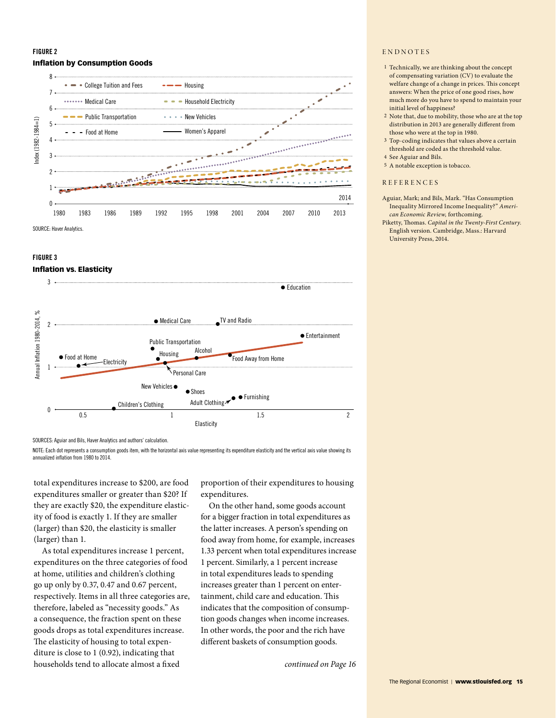# FIGURE 2 Inflation by Consumption Goods



### FIGURE 3

## Inflation vs. Elasticity



SOURCES: Aguiar and Bils, Haver Analytics and authors' calculation.

NOTE: Each dot represents a consumption goods item, with the horizontal axis value representing its expenditure elasticity and the vertical axis value showing its annualized inflation from 1980 to 2014.

total expenditures increase to \$200, are food expenditures smaller or greater than \$20? If they are exactly \$20, the expenditure elasticity of food is exactly 1. If they are smaller (larger) than \$20, the elasticity is smaller (larger) than 1.

As total expenditures increase 1 percent, expenditures on the three categories of food at home, utilities and children's clothing go up only by 0.37, 0.47 and 0.67 percent, respectively. Items in all three categories are, therefore, labeled as "necessity goods." As a consequence, the fraction spent on these goods drops as total expenditures increase. The elasticity of housing to total expenditure is close to 1 (0.92), indicating that households tend to allocate almost a fixed

proportion of their expenditures to housing expenditures.

On the other hand, some goods account for a bigger fraction in total expenditures as the latter increases. A person's spending on food away from home, for example, increases 1.33 percent when total expenditures increase 1 percent. Similarly, a 1 percent increase in total expenditures leads to spending increases greater than 1 percent on entertainment, child care and education. This indicates that the composition of consumption goods changes when income increases. In other words, the poor and the rich have different baskets of consumption goods.

*continued on Page 16*

#### ENDNOTES

- 1 Technically, we are thinking about the concept of compensating variation (CV) to evaluate the welfare change of a change in prices. This concept answers: When the price of one good rises, how much more do you have to spend to maintain your initial level of happiness?
- 2 Note that, due to mobility, those who are at the top distribution in 2013 are generally different from those who were at the top in 1980.
- 3 Top-coding indicates that values above a certain threshold are coded as the threshold value.
- 4 See Aguiar and Bils.
- 5 A notable exception is tobacco.

#### REFERENCES

- Aguiar, Mark; and Bils, Mark. "Has Consumption Inequality Mirrored Income Inequality?" *American Economic Review,* forthcoming.
- Piketty, Thomas. *Capital in the Twenty-First Century.* English version. Cambridge, Mass.: Harvard University Press, 2014.